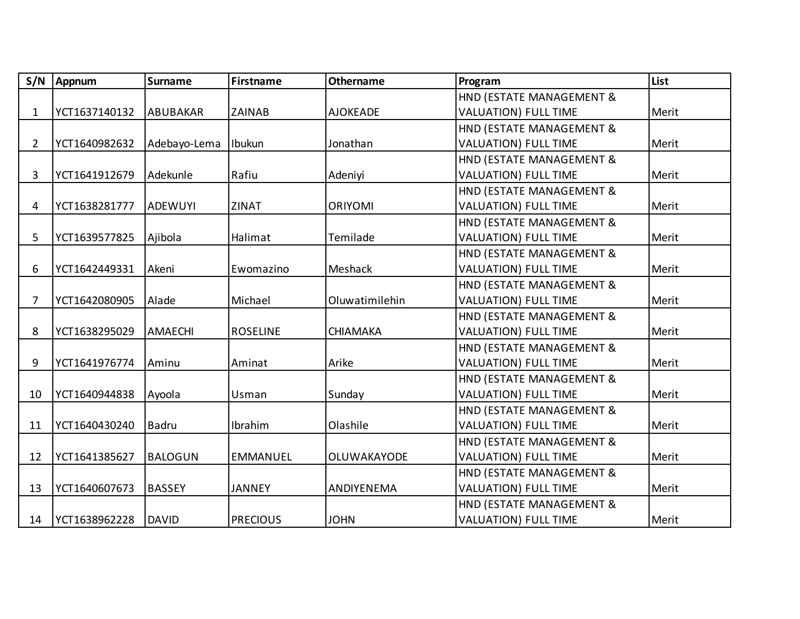| S/N            | Appnum        | <b>Surname</b> | <b>Firstname</b> | <b>Othername</b> | Program                     | List  |
|----------------|---------------|----------------|------------------|------------------|-----------------------------|-------|
|                |               |                |                  |                  | HND (ESTATE MANAGEMENT &    |       |
| 1              | YCT1637140132 | ABUBAKAR       | <b>ZAINAB</b>    | <b>AJOKEADE</b>  | <b>VALUATION) FULL TIME</b> | Merit |
|                |               |                |                  |                  | HND (ESTATE MANAGEMENT &    |       |
| $\overline{2}$ | YCT1640982632 | Adebayo-Lema   | Ibukun           | Jonathan         | <b>VALUATION) FULL TIME</b> | Merit |
|                |               |                |                  |                  | HND (ESTATE MANAGEMENT &    |       |
| 3              | YCT1641912679 | Adekunle       | Rafiu            | Adeniyi          | <b>VALUATION) FULL TIME</b> | Merit |
|                |               |                |                  |                  | HND (ESTATE MANAGEMENT &    |       |
| 4              | YCT1638281777 | ADEWUYI        | <b>ZINAT</b>     | <b>ORIYOMI</b>   | <b>VALUATION) FULL TIME</b> | Merit |
|                |               |                |                  |                  | HND (ESTATE MANAGEMENT &    |       |
| 5              | YCT1639577825 | Ajibola        | Halimat          | Temilade         | <b>VALUATION) FULL TIME</b> | Merit |
|                |               |                |                  |                  | HND (ESTATE MANAGEMENT &    |       |
| 6              | YCT1642449331 | Akeni          | Ewomazino        | Meshack          | <b>VALUATION) FULL TIME</b> | Merit |
|                |               |                |                  |                  | HND (ESTATE MANAGEMENT &    |       |
| 7              | YCT1642080905 | Alade          | Michael          | Oluwatimilehin   | <b>VALUATION) FULL TIME</b> | Merit |
|                |               |                |                  |                  | HND (ESTATE MANAGEMENT &    |       |
| 8              | YCT1638295029 | <b>AMAECHI</b> | <b>ROSELINE</b>  | <b>CHIAMAKA</b>  | <b>VALUATION) FULL TIME</b> | Merit |
|                |               |                |                  |                  | HND (ESTATE MANAGEMENT &    |       |
| 9              | YCT1641976774 | Aminu          | Aminat           | Arike            | <b>VALUATION) FULL TIME</b> | Merit |
|                |               |                |                  |                  | HND (ESTATE MANAGEMENT &    |       |
| 10             | YCT1640944838 | Ayoola         | Usman            | Sunday           | <b>VALUATION) FULL TIME</b> | Merit |
|                |               |                |                  |                  | HND (ESTATE MANAGEMENT &    |       |
| 11             | YCT1640430240 | <b>Badru</b>   | Ibrahim          | Olashile         | <b>VALUATION) FULL TIME</b> | Merit |
|                |               |                |                  |                  | HND (ESTATE MANAGEMENT &    |       |
| 12             | YCT1641385627 | <b>BALOGUN</b> | <b>EMMANUEL</b>  | OLUWAKAYODE      | <b>VALUATION) FULL TIME</b> | Merit |
|                |               |                |                  |                  | HND (ESTATE MANAGEMENT &    |       |
| 13             | YCT1640607673 | <b>BASSEY</b>  | <b>JANNEY</b>    | ANDIYENEMA       | <b>VALUATION) FULL TIME</b> | Merit |
|                |               |                |                  |                  | HND (ESTATE MANAGEMENT &    |       |
| 14             | YCT1638962228 | <b>DAVID</b>   | <b>PRECIOUS</b>  | <b>JOHN</b>      | <b>VALUATION) FULL TIME</b> | Merit |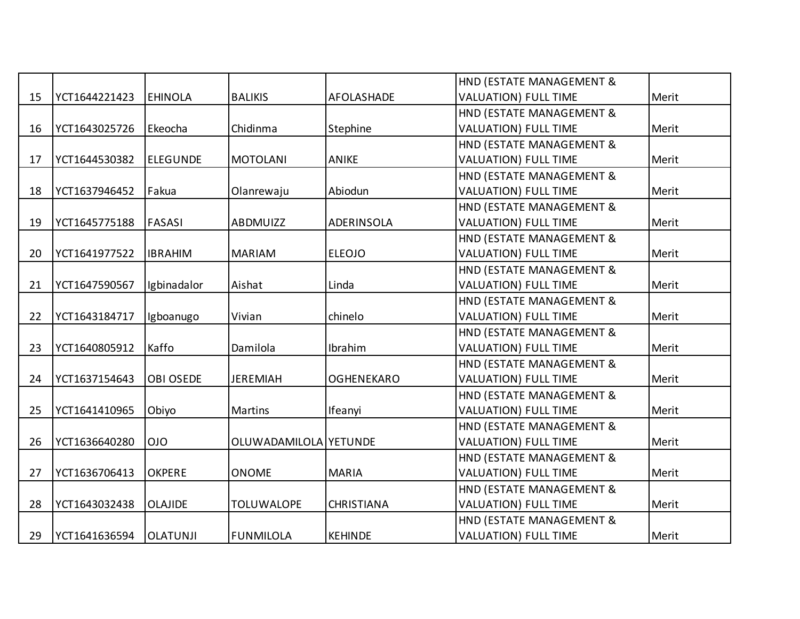|    |               |                  |                       |                   | HND (ESTATE MANAGEMENT &    |       |
|----|---------------|------------------|-----------------------|-------------------|-----------------------------|-------|
| 15 | YCT1644221423 | <b>EHINOLA</b>   | <b>BALIKIS</b>        | AFOLASHADE        | <b>VALUATION) FULL TIME</b> | Merit |
|    |               |                  |                       |                   | HND (ESTATE MANAGEMENT &    |       |
| 16 | YCT1643025726 | Ekeocha          | Chidinma              | Stephine          | <b>VALUATION) FULL TIME</b> | Merit |
|    |               |                  |                       |                   | HND (ESTATE MANAGEMENT &    |       |
| 17 | YCT1644530382 | <b>ELEGUNDE</b>  | <b>MOTOLANI</b>       | ANIKE             | <b>VALUATION) FULL TIME</b> | Merit |
|    |               |                  |                       |                   | HND (ESTATE MANAGEMENT &    |       |
| 18 | YCT1637946452 | Fakua            | Olanrewaju            | Abiodun           | <b>VALUATION) FULL TIME</b> | Merit |
|    |               |                  |                       |                   | HND (ESTATE MANAGEMENT &    |       |
| 19 | YCT1645775188 | <b>FASASI</b>    | ABDMUIZZ              | <b>ADERINSOLA</b> | <b>VALUATION) FULL TIME</b> | Merit |
|    |               |                  |                       |                   | HND (ESTATE MANAGEMENT &    |       |
| 20 | YCT1641977522 | <b>IBRAHIM</b>   | <b>MARIAM</b>         | <b>ELEOJO</b>     | <b>VALUATION) FULL TIME</b> | Merit |
|    |               |                  |                       |                   | HND (ESTATE MANAGEMENT &    |       |
| 21 | YCT1647590567 | Igbinadalor      | Aishat                | Linda             | <b>VALUATION) FULL TIME</b> | Merit |
|    |               |                  |                       |                   | HND (ESTATE MANAGEMENT &    |       |
| 22 | YCT1643184717 | Igboanugo        | Vivian                | chinelo           | <b>VALUATION) FULL TIME</b> | Merit |
|    |               |                  |                       |                   | HND (ESTATE MANAGEMENT &    |       |
| 23 | YCT1640805912 | Kaffo            | Damilola              | Ibrahim           | <b>VALUATION) FULL TIME</b> | Merit |
|    |               |                  |                       |                   | HND (ESTATE MANAGEMENT &    |       |
| 24 | YCT1637154643 | <b>OBI OSEDE</b> | <b>JEREMIAH</b>       | <b>OGHENEKARO</b> | <b>VALUATION) FULL TIME</b> | Merit |
|    |               |                  |                       |                   | HND (ESTATE MANAGEMENT &    |       |
| 25 | YCT1641410965 | Obiyo            | <b>Martins</b>        | Ifeanyi           | <b>VALUATION) FULL TIME</b> | Merit |
|    |               |                  |                       |                   | HND (ESTATE MANAGEMENT &    |       |
| 26 | YCT1636640280 | <b>OIO</b>       | OLUWADAMILOLA YETUNDE |                   | <b>VALUATION) FULL TIME</b> | Merit |
|    |               |                  |                       |                   | HND (ESTATE MANAGEMENT &    |       |
| 27 | YCT1636706413 | <b>OKPERE</b>    | <b>ONOME</b>          | <b>MARIA</b>      | <b>VALUATION) FULL TIME</b> | Merit |
|    |               |                  |                       |                   | HND (ESTATE MANAGEMENT &    |       |
| 28 | YCT1643032438 | <b>OLAJIDE</b>   | <b>TOLUWALOPE</b>     | <b>CHRISTIANA</b> | <b>VALUATION) FULL TIME</b> | Merit |
|    |               |                  |                       |                   | HND (ESTATE MANAGEMENT &    |       |
| 29 | YCT1641636594 | <b>OLATUNJI</b>  | <b>FUNMILOLA</b>      | <b>KEHINDE</b>    | <b>VALUATION) FULL TIME</b> | Merit |